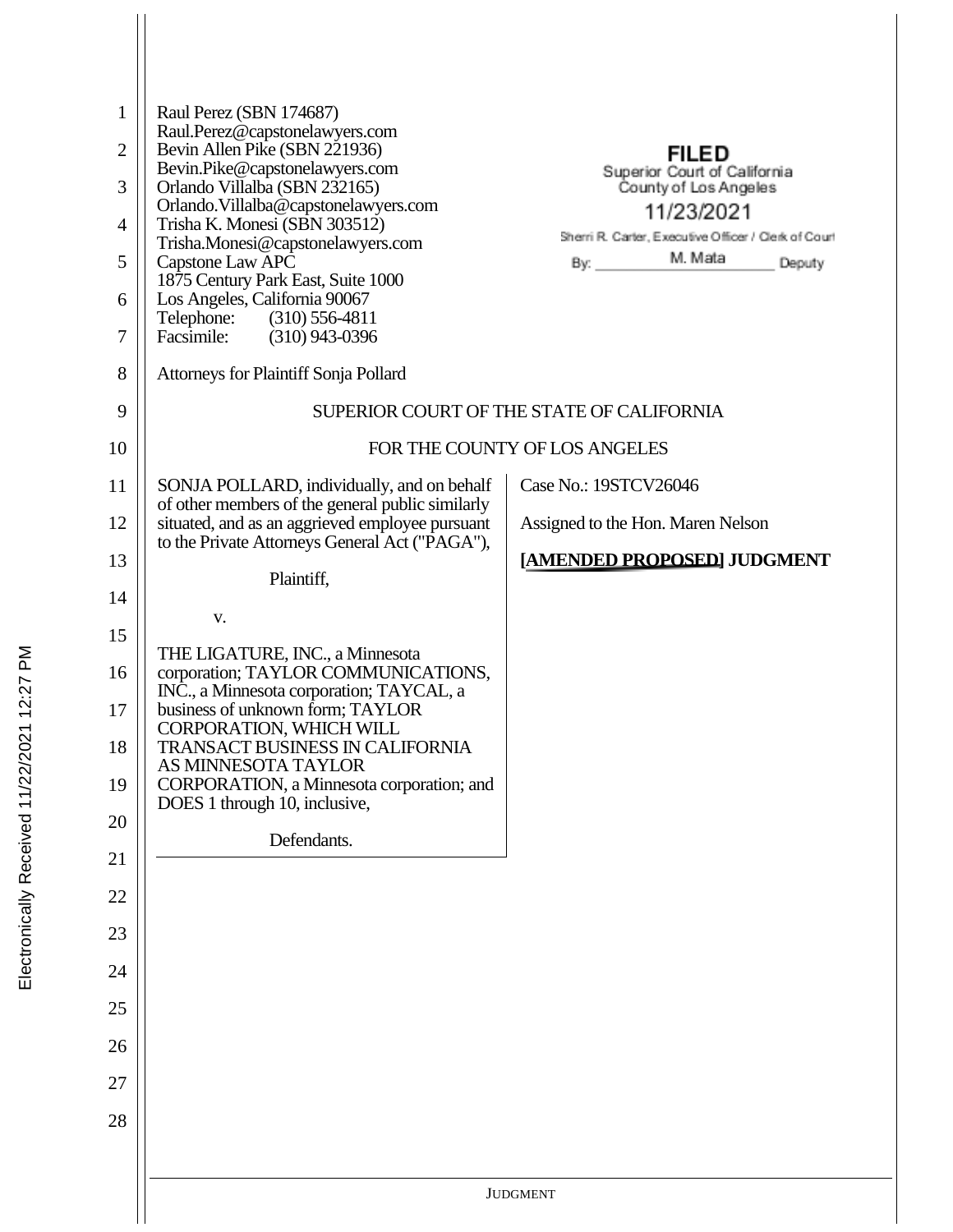| 1<br>$\overline{2}$<br>3<br>4<br>5<br>6<br>7<br>8<br>9<br>10<br>11 | Raul Perez (SBN 174687)<br>Raul.Perez@capstonelawyers.com<br>Bevin Allen Pike (SBN 221936)<br>Bevin.Pike@capstonelawyers.com<br>Orlando Villalba (SBN 232165)<br>Orlando. Villalba@capstonelawyers.com<br>Trisha K. Monesi (SBN 303512)<br>Trisha.Monesi@capstonelawyers.com<br>Capstone Law APC<br>1875 Century Park East, Suite 1000<br>Los Angeles, California 90067<br>Telephone: (310) 556-4811<br>Facsimile: (310) 943-0396<br><b>Attorneys for Plaintiff Sonja Pollard</b><br>SONJA POLLARD, individually, and on behalf | <b>FILED</b><br>Superior Court of California<br>County of Los Angeles<br>11/23/2021<br>Sherri R. Carter, Executive Officer / Clerk of Court<br>Deputy<br>SUPERIOR COURT OF THE STATE OF CALIFORNIA<br>FOR THE COUNTY OF LOS ANGELES<br>Case No.: 19STCV26046 |
|--------------------------------------------------------------------|---------------------------------------------------------------------------------------------------------------------------------------------------------------------------------------------------------------------------------------------------------------------------------------------------------------------------------------------------------------------------------------------------------------------------------------------------------------------------------------------------------------------------------|--------------------------------------------------------------------------------------------------------------------------------------------------------------------------------------------------------------------------------------------------------------|
| 12<br>13<br>14                                                     | of other members of the general public similarly<br>situated, and as an aggrieved employee pursuant<br>to the Private Attorneys General Act ("PAGA"),<br>Plaintiff,                                                                                                                                                                                                                                                                                                                                                             | Assigned to the Hon. Maren Nelson<br>[AMENDED PROPOSED] JUDGMENT                                                                                                                                                                                             |
| 15<br>16<br>17<br>18<br>19<br>20<br>21                             | V.<br>THE LIGATURE, INC., a Minnesota<br>corporation; TAYLOR COMMUNICATIONS,<br>INC., a Minnesota corporation; TAYCAL, a<br>business of unknown form; TAYLOR<br>CORPORATION, WHICH WILL<br>TRANSACT BUSINESS IN CALIFORNIA<br>AS MINNESOTA TAYLOR<br>CORPORATION, a Minnesota corporation; and<br>DOES 1 through 10, inclusive,<br>Defendants.                                                                                                                                                                                  |                                                                                                                                                                                                                                                              |
| 22<br>23<br>24<br>25<br>26<br>27<br>28                             |                                                                                                                                                                                                                                                                                                                                                                                                                                                                                                                                 |                                                                                                                                                                                                                                                              |
|                                                                    |                                                                                                                                                                                                                                                                                                                                                                                                                                                                                                                                 | <b>JUDGMENT</b>                                                                                                                                                                                                                                              |
|                                                                    |                                                                                                                                                                                                                                                                                                                                                                                                                                                                                                                                 |                                                                                                                                                                                                                                                              |